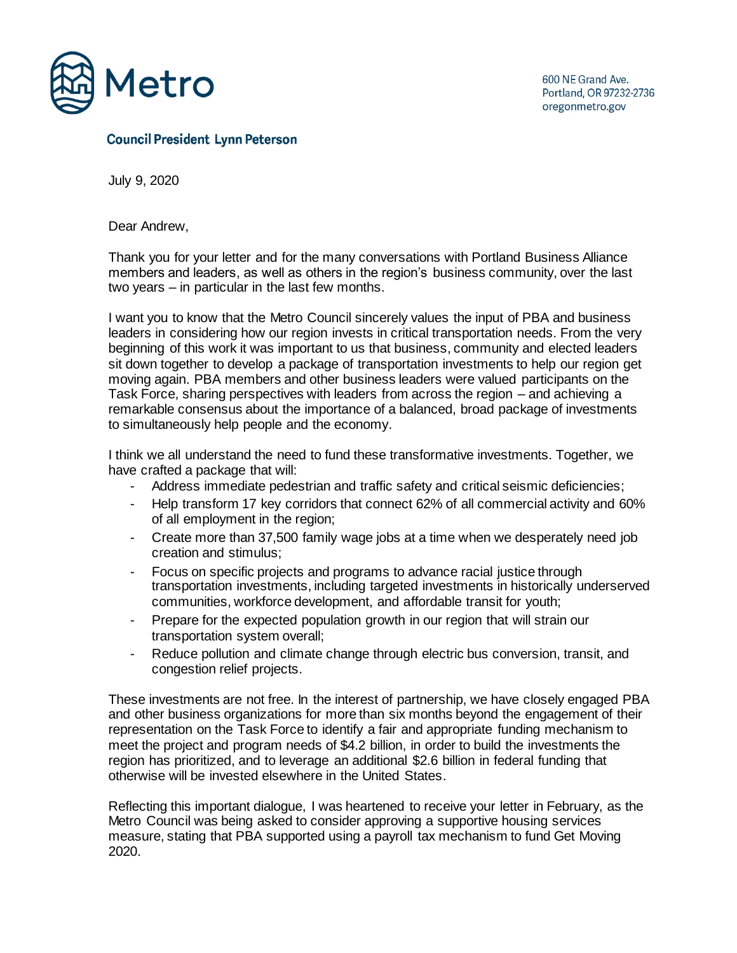

## **Council President Lynn Peterson**

July 9, 2020

Dear Andrew,

Thank you for your letter and for the many conversations with Portland Business Alliance members and leaders, as well as others in the region's business community, over the last two years – in particular in the last few months.

I want you to know that the Metro Council sincerely values the input of PBA and business leaders in considering how our region invests in critical transportation needs. From the very beginning of this work it was important to us that business, community and elected leaders sit down together to develop a package of transportation investments to help our region get moving again. PBA members and other business leaders were valued participants on the Task Force, sharing perspectives with leaders from across the region – and achieving a remarkable consensus about the importance of a balanced, broad package of investments to simultaneously help people and the economy.

I think we all understand the need to fund these transformative investments. Together, we have crafted a package that will:

- Address immediate pedestrian and traffic safety and critical seismic deficiencies;
- Help transform 17 key corridors that connect 62% of all commercial activity and 60% of all employment in the region;
- Create more than 37,500 family wage jobs at a time when we desperately need job creation and stimulus;
- Focus on specific projects and programs to advance racial justice through transportation investments, including targeted investments in historically underserved communities, workforce development, and affordable transit for youth;
- Prepare for the expected population growth in our region that will strain our transportation system overall;
- Reduce pollution and climate change through electric bus conversion, transit, and congestion relief projects.

These investments are not free. In the interest of partnership, we have closely engaged PBA and other business organizations for more than six months beyond the engagement of their representation on the Task Force to identify a fair and appropriate funding mechanism to meet the project and program needs of \$4.2 billion, in order to build the investments the region has prioritized, and to leverage an additional \$2.6 billion in federal funding that otherwise will be invested elsewhere in the United States.

Reflecting this important dialogue, I was heartened to receive your letter in February, as the Metro Council was being asked to consider approving a supportive housing services measure, stating that PBA supported using a payroll tax mechanism to fund Get Moving 2020.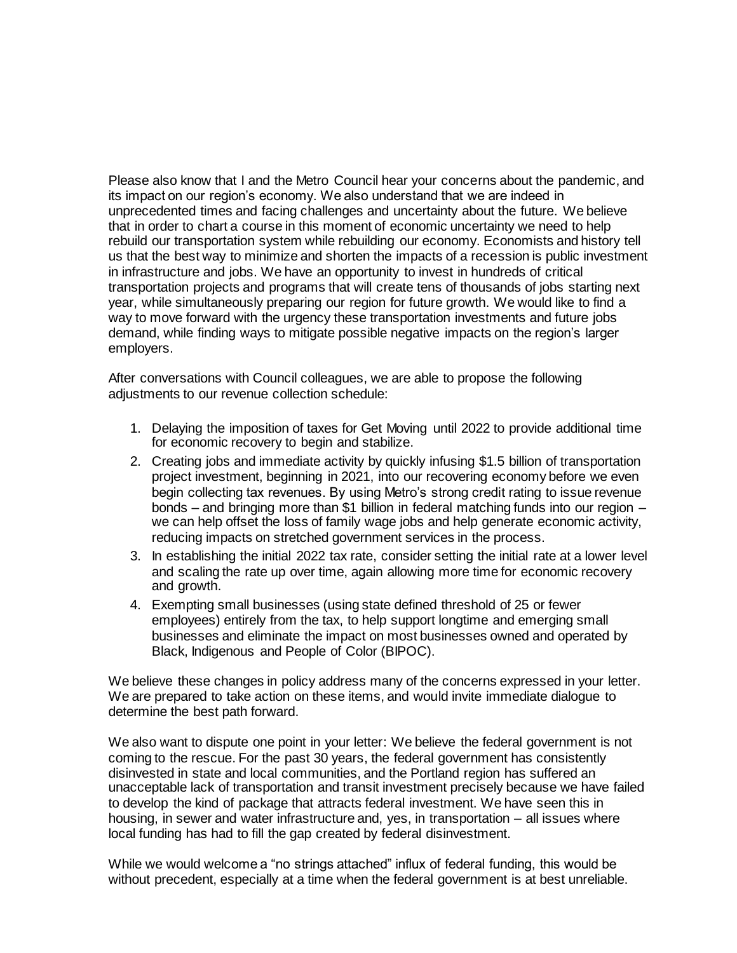Please also know that I and the Metro Council hear your concerns about the pandemic, and its impact on our region's economy. We also understand that we are indeed in unprecedented times and facing challenges and uncertainty about the future. We believe that in order to chart a course in this moment of economic uncertainty we need to help rebuild our transportation system while rebuilding our economy. Economists and history tell us that the best way to minimize and shorten the impacts of a recession is public investment in infrastructure and jobs. We have an opportunity to invest in hundreds of critical transportation projects and programs that will create tens of thousands of jobs starting next year, while simultaneously preparing our region for future growth. We would like to find a way to move forward with the urgency these transportation investments and future jobs demand, while finding ways to mitigate possible negative impacts on the region's larger employers.

After conversations with Council colleagues, we are able to propose the following adjustments to our revenue collection schedule:

- 1. Delaying the imposition of taxes for Get Moving until 2022 to provide additional time for economic recovery to begin and stabilize.
- 2. Creating jobs and immediate activity by quickly infusing \$1.5 billion of transportation project investment, beginning in 2021, into our recovering economy before we even begin collecting tax revenues. By using Metro's strong credit rating to issue revenue bonds – and bringing more than \$1 billion in federal matching funds into our region – we can help offset the loss of family wage jobs and help generate economic activity, reducing impacts on stretched government services in the process.
- 3. In establishing the initial 2022 tax rate, consider setting the initial rate at a lower level and scaling the rate up over time, again allowing more time for economic recovery and growth.
- 4. Exempting small businesses (using state defined threshold of 25 or fewer employees) entirely from the tax, to help support longtime and emerging small businesses and eliminate the impact on most businesses owned and operated by Black, Indigenous and People of Color (BIPOC).

We believe these changes in policy address many of the concerns expressed in your letter. We are prepared to take action on these items, and would invite immediate dialogue to determine the best path forward.

We also want to dispute one point in your letter: We believe the federal government is not coming to the rescue. For the past 30 years, the federal government has consistently disinvested in state and local communities, and the Portland region has suffered an unacceptable lack of transportation and transit investment precisely because we have failed to develop the kind of package that attracts federal investment. We have seen this in housing, in sewer and water infrastructure and, yes, in transportation – all issues where local funding has had to fill the gap created by federal disinvestment.

While we would welcome a "no strings attached" influx of federal funding, this would be without precedent, especially at a time when the federal government is at best unreliable.